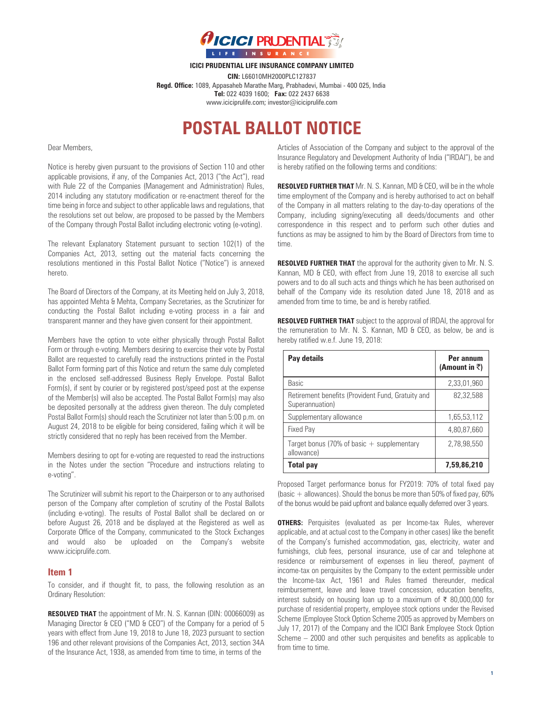

**ICICI PRUDENTIAL LIFE INSURANCE COMPANY LIMITED**

**CIN:** L66010MH2000PLC127837 **Regd. Office:** 1089, Appasaheb Marathe Marg, Prabhadevi, Mumbai - 400 025, India **Tel:** 022 4039 1600; **Fax:** 022 2437 6638 www.iciciprulife.com; investor@iciciprulife.com

# **POSTAL BALLOT NOTICE**

Dear Members,

Notice is hereby given pursuant to the provisions of Section 110 and other applicable provisions, if any, of the Companies Act, 2013 ("the Act"), read with Rule 22 of the Companies (Management and Administration) Rules, 2014 including any statutory modification or re-enactment thereof for the time being in force and subject to other applicable laws and regulations, that the resolutions set out below, are proposed to be passed by the Members of the Company through Postal Ballot including electronic voting (e-voting).

The relevant Explanatory Statement pursuant to section 102(1) of the Companies Act, 2013, setting out the material facts concerning the resolutions mentioned in this Postal Ballot Notice ("Notice") is annexed hereto.

The Board of Directors of the Company, at its Meeting held on July 3, 2018, has appointed Mehta & Mehta, Company Secretaries, as the Scrutinizer for conducting the Postal Ballot including e-voting process in a fair and transparent manner and they have given consent for their appointment.

Members have the option to vote either physically through Postal Ballot Form or through e-voting. Members desiring to exercise their vote by Postal Ballot are requested to carefully read the instructions printed in the Postal Ballot Form forming part of this Notice and return the same duly completed in the enclosed self-addressed Business Reply Envelope. Postal Ballot Form(s), if sent by courier or by registered post/speed post at the expense of the Member(s) will also be accepted. The Postal Ballot Form(s) may also be deposited personally at the address given thereon. The duly completed Postal Ballot Form(s) should reach the Scrutinizer not later than 5:00 p.m. on August 24, 2018 to be eligible for being considered, failing which it will be strictly considered that no reply has been received from the Member.

Members desiring to opt for e-voting are requested to read the instructions in the Notes under the section "Procedure and instructions relating to e-voting".

The Scrutinizer will submit his report to the Chairperson or to any authorised person of the Company after completion of scrutiny of the Postal Ballots (including e-voting). The results of Postal Ballot shall be declared on or before August 26, 2018 and be displayed at the Registered as well as Corporate Office of the Company, communicated to the Stock Exchanges and would also be uploaded on the Company's website www.iciciprulife.com.

## **Item 1**

To consider, and if thought fit, to pass, the following resolution as an Ordinary Resolution:

**RESOLVED THAT** the appointment of Mr. N. S. Kannan (DIN: 00066009) as Managing Director & CEO ("MD & CEO") of the Company for a period of 5 years with effect from June 19, 2018 to June 18, 2023 pursuant to section 196 and other relevant provisions of the Companies Act, 2013, section 34A of the Insurance Act, 1938, as amended from time to time, in terms of the

Articles of Association of the Company and subject to the approval of the Insurance Regulatory and Development Authority of India ("IRDAI"), be and is hereby ratified on the following terms and conditions:

**RESOLVED FURTHER THAT** Mr. N. S. Kannan, MD & CEO, will be in the whole time employment of the Company and is hereby authorised to act on behalf of the Company in all matters relating to the day-to-day operations of the Company, including signing/executing all deeds/documents and other correspondence in this respect and to perform such other duties and functions as may be assigned to him by the Board of Directors from time to time.

**RESOLVED FURTHER THAT** the approval for the authority given to Mr. N. S. Kannan, MD & CEO, with effect from June 19, 2018 to exercise all such powers and to do all such acts and things which he has been authorised on behalf of the Company vide its resolution dated June 18, 2018 and as amended from time to time, be and is hereby ratified.

**RESOLVED FURTHER THAT** subject to the approval of IRDAI, the approval for the remuneration to Mr. N. S. Kannan, MD & CEO, as below, be and is hereby ratified w.e.f. June 19, 2018:

| Pay details                                                          | Per annum<br>(Amount in ₹) |
|----------------------------------------------------------------------|----------------------------|
| Basic                                                                | 2,33,01,960                |
| Retirement benefits (Provident Fund, Gratuity and<br>Superannuation) | 82.32.588                  |
| Supplementary allowance                                              | 1,65,53,112                |
| Fixed Pay                                                            | 4,80,87,660                |
| Target bonus (70% of basic $+$ supplementary<br>allowance)           | 2,78,98,550                |
| <b>Total pay</b>                                                     | 7,59,86,210                |

Proposed Target performance bonus for FY2019: 70% of total fixed pay (basic  $+$  allowances). Should the bonus be more than 50% of fixed pay, 60% of the bonus would be paid upfront and balance equally deferred over 3 years.

**OTHERS:** Perquisites (evaluated as per Income-tax Rules, wherever applicable, and at actual cost to the Company in other cases) like the benefit of the Company's furnished accommodation, gas, electricity, water and furnishings, club fees, personal insurance, use of car and telephone at residence or reimbursement of expenses in lieu thereof, payment of income-tax on perquisites by the Company to the extent permissible under the Income-tax Act, 1961 and Rules framed thereunder, medical reimbursement, leave and leave travel concession, education benefits, interest subsidy on housing loan up to a maximum of ₹ 80,000,000 for purchase of residential property, employee stock options under the Revised Scheme (Employee Stock Option Scheme 2005 as approved by Members on July 17, 2017) of the Company and the ICICI Bank Employee Stock Option Scheme – 2000 and other such perquisites and benefits as applicable to from time to time.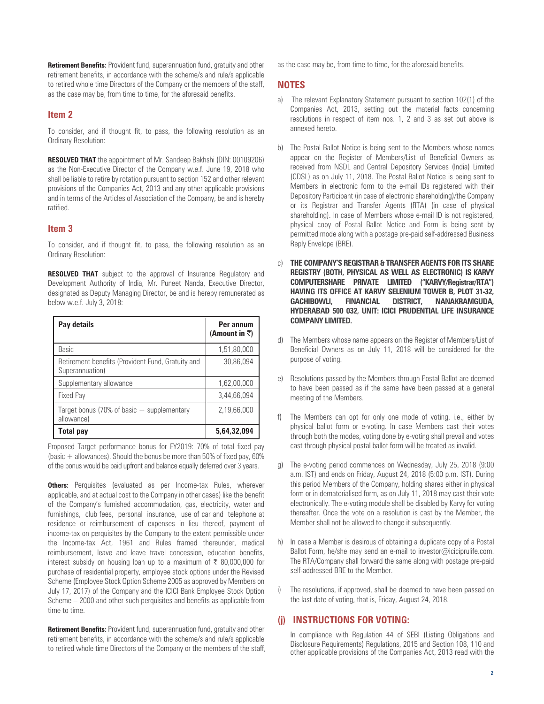**Retirement Benefits:** Provident fund, superannuation fund, gratuity and other retirement benefits, in accordance with the scheme/s and rule/s applicable to retired whole time Directors of the Company or the members of the staff, as the case may be, from time to time, for the aforesaid benefits.

## **Item 2**

To consider, and if thought fit, to pass, the following resolution as an Ordinary Resolution:

**RESOLVED THAT** the appointment of Mr. Sandeep Bakhshi (DIN: 00109206) as the Non-Executive Director of the Company w.e.f. June 19, 2018 who shall be liable to retire by rotation pursuant to section 152 and other relevant provisions of the Companies Act, 2013 and any other applicable provisions and in terms of the Articles of Association of the Company, be and is hereby ratified.

## **Item 3**

To consider, and if thought fit, to pass, the following resolution as an Ordinary Resolution:

**RESOLVED THAT** subject to the approval of Insurance Regulatory and Development Authority of India, Mr. Puneet Nanda, Executive Director, designated as Deputy Managing Director, be and is hereby remunerated as below w.e.f. July 3, 2018:

| Pay details                                                          | Per annum<br>(Amount in ₹) |
|----------------------------------------------------------------------|----------------------------|
| Basic                                                                | 1,51,80,000                |
| Retirement benefits (Provident Fund, Gratuity and<br>Superannuation) | 30,86,094                  |
| Supplementary allowance                                              | 1,62,00,000                |
| <b>Fixed Pay</b>                                                     | 3,44,66,094                |
| Target bonus (70% of basic $+$ supplementary<br>allowance)           | 2,19,66,000                |
| <b>Total pay</b>                                                     | 5,64,32,094                |

Proposed Target performance bonus for FY2019: 70% of total fixed pay (basic + allowances). Should the bonus be more than 50% of fixed pay, 60% of the bonus would be paid upfront and balance equally deferred over 3 years.

**Others:** Perquisites (evaluated as per Income-tax Rules, wherever applicable, and at actual cost to the Company in other cases) like the benefit of the Company's furnished accommodation, gas, electricity, water and furnishings, club fees, personal insurance, use of car and telephone at residence or reimbursement of expenses in lieu thereof, payment of income-tax on perquisites by the Company to the extent permissible under the Income-tax Act, 1961 and Rules framed thereunder, medical reimbursement, leave and leave travel concession, education benefits, interest subsidy on housing loan up to a maximum of ₹ 80,000,000 for purchase of residential property, employee stock options under the Revised Scheme (Employee Stock Option Scheme 2005 as approved by Members on July 17, 2017) of the Company and the ICICI Bank Employee Stock Option Scheme – 2000 and other such perquisites and benefits as applicable from time to time.

**Retirement Benefits:** Provident fund, superannuation fund, gratuity and other retirement benefits, in accordance with the scheme/s and rule/s applicable to retired whole time Directors of the Company or the members of the staff, as the case may be, from time to time, for the aforesaid benefits.

## **NOTES**

- a) The relevant Explanatory Statement pursuant to section 102(1) of the Companies Act, 2013, setting out the material facts concerning resolutions in respect of item nos. 1, 2 and 3 as set out above is annexed hereto.
- b) The Postal Ballot Notice is being sent to the Members whose names appear on the Register of Members/List of Beneficial Owners as received from NSDL and Central Depository Services (India) Limited (CDSL) as on July 11, 2018. The Postal Ballot Notice is being sent to Members in electronic form to the e-mail IDs registered with their Depository Participant (in case of electronic shareholding)/the Company or its Registrar and Transfer Agents (RTA) (in case of physical shareholding). In case of Members whose e-mail ID is not registered, physical copy of Postal Ballot Notice and Form is being sent by permitted mode along with a postage pre-paid self-addressed Business Reply Envelope (BRE).
- c) **THE COMPANY'S REGISTRAR & TRANSFER AGENTS FOR ITS SHARE REGISTRY (BOTH, PHYSICAL AS WELL AS ELECTRONIC) IS KARVY COMPUTERSHARE PRIVATE LIMITED ("KARVY/Registrar/RTA") HAVING ITS OFFICE AT KARVY SELENIUM TOWER B, PLOT 31-32, GACHIBOWLI, FINANCIAL DISTRICT, NANAKRAMGUDA, HYDERABAD 500 032, UNIT: ICICI PRUDENTIAL LIFE INSURANCE COMPANY LIMITED.**
- The Members whose name appears on the Register of Members/List of Beneficial Owners as on July 11, 2018 will be considered for the purpose of voting.
- e) Resolutions passed by the Members through Postal Ballot are deemed to have been passed as if the same have been passed at a general meeting of the Members.
- f) The Members can opt for only one mode of voting, i.e., either by physical ballot form or e-voting. In case Members cast their votes through both the modes, voting done by e-voting shall prevail and votes cast through physical postal ballot form will be treated as invalid.
- g) The e-voting period commences on Wednesday, July 25, 2018 (9:00 a.m. IST) and ends on Friday, August 24, 2018 (5:00 p.m. IST). During this period Members of the Company, holding shares either in physical form or in dematerialised form, as on July 11, 2018 may cast their vote electronically. The e-voting module shall be disabled by Karvy for voting thereafter. Once the vote on a resolution is cast by the Member, the Member shall not be allowed to change it subsequently.
- h) In case a Member is desirous of obtaining a duplicate copy of a Postal Ballot Form, he/she may send an e-mail to investor@iciciprulife.com. The RTA/Company shall forward the same along with postage pre-paid self-addressed BRE to the Member.
- i) The resolutions, if approved, shall be deemed to have been passed on the last date of voting, that is, Friday, August 24, 2018.

## **(j) INSTRUCTIONS FOR VOTING:**

 In compliance with Regulation 44 of SEBI (Listing Obligations and Disclosure Requirements) Regulations, 2015 and Section 108, 110 and other applicable provisions of the Companies Act, 2013 read with the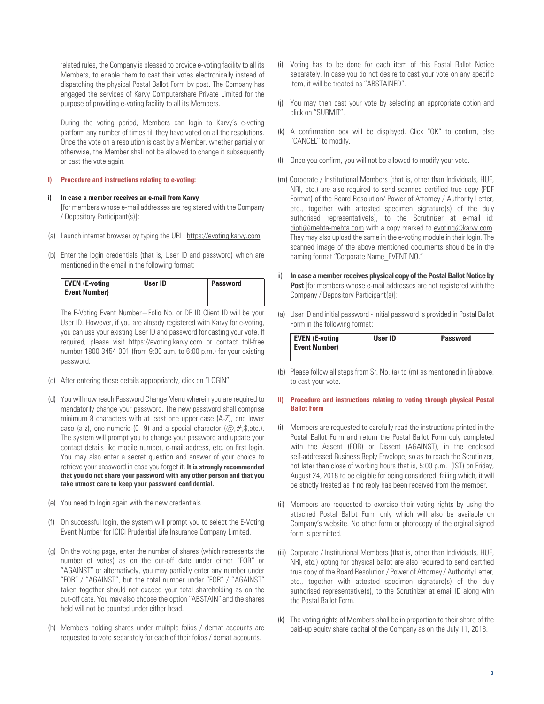related rules, the Company is pleased to provide e-voting facility to all its Members, to enable them to cast their votes electronically instead of dispatching the physical Postal Ballot Form by post. The Company has engaged the services of Karvy Computershare Private Limited for the purpose of providing e-voting facility to all its Members.

During the voting period, Members can login to Karvy's e-voting platform any number of times till they have voted on all the resolutions. Once the vote on a resolution is cast by a Member, whether partially or otherwise, the Member shall not be allowed to change it subsequently or cast the vote again.

#### **I) Procedure and instructions relating to e-voting:**

#### **i) In case a member receives an e-mail from Karvy**

 [for members whose e-mail addresses are registered with the Company / Depository Participant(s)]:

- (a) Launch internet browser by typing the URL: https://evoting.karvy.com
- (b) Enter the login credentials (that is, User ID and password) which are mentioned in the email in the following format:

| <b>EVEN (E-voting</b><br>Event Number) | User ID | Password |
|----------------------------------------|---------|----------|
|                                        |         |          |

 The E-Voting Event Number+Folio No. or DP ID Client ID will be your User ID. However, if you are already registered with Karvy for e-voting, you can use your existing User ID and password for casting your vote. If required, please visit https://evoting.karvy.com or contact toll-free number 1800-3454-001 (from 9:00 a.m. to 6:00 p.m.) for your existing password.

- (c) After entering these details appropriately, click on "LOGIN".
- (d) You will now reach Password Change Menu wherein you are required to mandatorily change your password. The new password shall comprise minimum 8 characters with at least one upper case (A-Z), one lower case (a-z), one numeric (0- 9) and a special character ( $\omega, \#$ , \$, etc.). The system will prompt you to change your password and update your contact details like mobile number, e-mail address, etc. on first login. You may also enter a secret question and answer of your choice to retrieve your password in case you forget it. **It is strongly recommended that you do not share your password with any other person and that you take utmost care to keep your password confidential.**
- (e) You need to login again with the new credentials.
- (f) On successful login, the system will prompt you to select the E-Voting Event Number for ICICI Prudential Life Insurance Company Limited.
- (g) On the voting page, enter the number of shares (which represents the number of votes) as on the cut-off date under either "FOR" or "AGAINST" or alternatively, you may partially enter any number under "FOR" / "AGAINST", but the total number under "FOR" / ''AGAINST" taken together should not exceed your total shareholding as on the cut-off date. You may also choose the option "ABSTAIN" and the shares held will not be counted under either head.
- (h) Members holding shares under multiple folios / demat accounts are requested to vote separately for each of their folios / demat accounts.
- (i) Voting has to be done for each item of this Postal Ballot Notice separately. In case you do not desire to cast your vote on any specific item, it will be treated as "ABSTAINED".
- (j) You may then cast your vote by selecting an appropriate option and click on "SUBMIT".
- (k) A confirmation box will be displayed. Click "OK" to confirm, else "CANCEL" to modify.
- (l) Once you confirm, you will not be allowed to modify your vote.
- (m) Corporate / Institutional Members (that is, other than Individuals, HUF, NRI, etc.) are also required to send scanned certified true copy (PDF Format) of the Board Resolution/ Power of Attorney / Authority Letter, etc., together with attested specimen signature(s) of the duly authorised representative(s), to the Scrutinizer at e-mail id: dipti@mehta-mehta.com with a copy marked to evoting@karvy.com. They may also upload the same in the e-voting module in their login. The scanned image of the above mentioned documents should be in the naming format "Corporate Name\_EVENT NO."
- ii) **In case a member receives physical copy of the Postal Ballot Notice by Post** [for members whose e-mail addresses are not registered with the Company / Depository Participant(s)]:
- (a) User ID and initial password Initial password is provided in Postal Ballot Form in the following format:

| <b>EVEN (E-voting</b><br><b>Event Number)</b> | User ID | Password |
|-----------------------------------------------|---------|----------|
|                                               |         |          |

(b) Please follow all steps from Sr. No. (a) to (m) as mentioned in (i) above, to cast your vote.

#### **II) Procedure and instructions relating to voting through physical Postal Ballot Form**

- (i) Members are requested to carefully read the instructions printed in the Postal Ballot Form and return the Postal Ballot Form duly completed with the Assent (FOR) or Dissent (AGAINST), in the enclosed self-addressed Business Reply Envelope, so as to reach the Scrutinizer, not later than close of working hours that is, 5:00 p.m. (IST) on Friday, August 24, 2018 to be eligible for being considered, failing which, it will be strictly treated as if no reply has been received from the member.
- (ii) Members are requested to exercise their voting rights by using the attached Postal Ballot Form only which will also be available on Company's website. No other form or photocopy of the orginal signed form is permitted.
- (iii) Corporate / Institutional Members (that is, other than Individuals, HUF, NRI, etc.) opting for physical ballot are also required to send certified true copy of the Board Resolution / Power of Attorney / Authority Letter, etc., together with attested specimen signature(s) of the duly authorised representative(s), to the Scrutinizer at email ID along with the Postal Ballot Form.
- (k) The voting rights of Members shall be in proportion to their share of the paid-up equity share capital of the Company as on the July 11, 2018.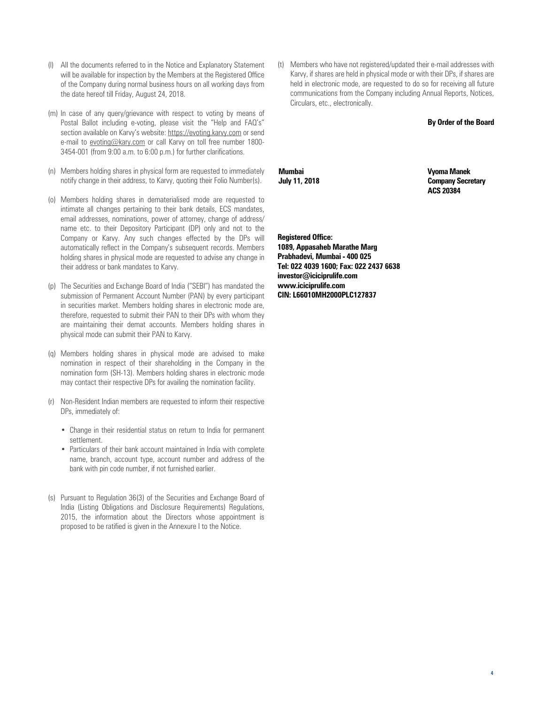- (l) All the documents referred to in the Notice and Explanatory Statement will be available for inspection by the Members at the Registered Office of the Company during normal business hours on all working days from the date hereof till Friday, August 24, 2018.
- (m) In case of any query/grievance with respect to voting by means of Postal Ballot including e-voting, please visit the "Help and FAQ's" section available on Karvy's website: https://evoting.karvy.com or send e-mail to evoting@kary.com or call Karvy on toll free number 1800-3454-001 (from 9:00 a.m. to 6:00 p.m.) for further clarifications.
- (n) Members holding shares in physical form are requested to immediately notify change in their address, to Karvy, quoting their Folio Number(s).
- (o) Members holding shares in dematerialised mode are requested to intimate all changes pertaining to their bank details, ECS mandates, email addresses, nominations, power of attorney, change of address/ name etc. to their Depository Participant (DP) only and not to the Company or Karvy. Any such changes effected by the DPs will automatically reflect in the Company's subsequent records. Members holding shares in physical mode are requested to advise any change in their address or bank mandates to Karvy.
- (p) The Securities and Exchange Board of India ("SEBI") has mandated the submission of Permanent Account Number (PAN) by every participant in securities market. Members holding shares in electronic mode are, therefore, requested to submit their PAN to their DPs with whom they are maintaining their demat accounts. Members holding shares in physical mode can submit their PAN to Karvy.
- (q) Members holding shares in physical mode are advised to make nomination in respect of their shareholding in the Company in the nomination form (SH-13). Members holding shares in electronic mode may contact their respective DPs for availing the nomination facility.
- (r) Non-Resident Indian members are requested to inform their respective DPs, immediately of:
	- Change in their residential status on return to India for permanent settlement.
	- Particulars of their bank account maintained in India with complete name, branch, account type, account number and address of the bank with pin code number, if not furnished earlier.
- (s) Pursuant to Regulation 36(3) of the Securities and Exchange Board of India (Listing Obligations and Disclosure Requirements) Regulations, 2015, the information about the Directors whose appointment is proposed to be ratified is given in the Annexure I to the Notice.

(t) Members who have not registered/updated their e-mail addresses with Karvy, if shares are held in physical mode or with their DPs, if shares are held in electronic mode, are requested to do so for receiving all future communications from the Company including Annual Reports, Notices, Circulars, etc., electronically.

#### **By Order of the Board**

**Mumbai July 11, 2018** 

**Vyoma Manek Company Secretary ACS 20384**

**Registered Office: 1089, Appasaheb Marathe Marg Prabhadevi, Mumbai - 400 025 Tel: 022 4039 1600; Fax: 022 2437 6638 investor@iciciprulife.com www.iciciprulife.com CIN: L66010MH2000PLC127837**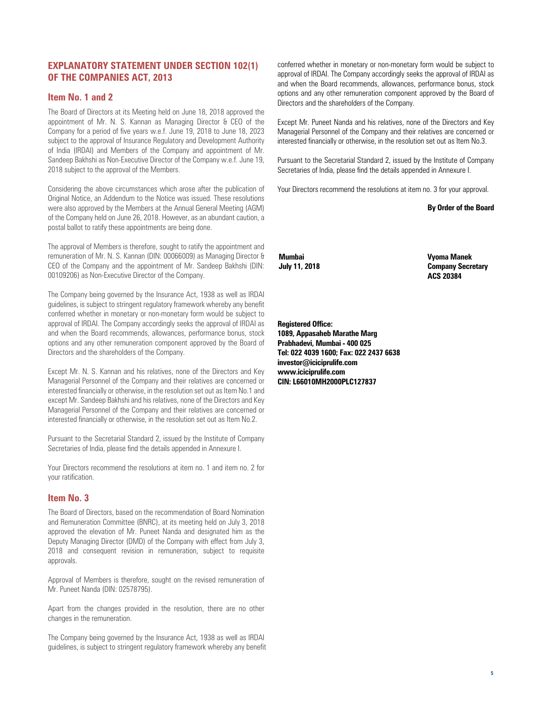## **EXPLANATORY STATEMENT UNDER SECTION 102(1) OF THE COMPANIES ACT, 2013**

## **Item No. 1 and 2**

The Board of Directors at its Meeting held on June 18, 2018 approved the appointment of Mr. N. S. Kannan as Managing Director & CEO of the Company for a period of five years w.e.f. June 19, 2018 to June 18, 2023 subject to the approval of Insurance Regulatory and Development Authority of India (IRDAI) and Members of the Company and appointment of Mr. Sandeep Bakhshi as Non-Executive Director of the Company w.e.f. June 19, 2018 subject to the approval of the Members.

Considering the above circumstances which arose after the publication of Original Notice, an Addendum to the Notice was issued. These resolutions were also approved by the Members at the Annual General Meeting (AGM) of the Company held on June 26, 2018. However, as an abundant caution, a postal ballot to ratify these appointments are being done.

The approval of Members is therefore, sought to ratify the appointment and remuneration of Mr. N. S. Kannan (DIN: 00066009) as Managing Director & CEO of the Company and the appointment of Mr. Sandeep Bakhshi (DIN: 00109206) as Non-Executive Director of the Company.

The Company being governed by the Insurance Act, 1938 as well as IRDAI guidelines, is subject to stringent regulatory framework whereby any benefit conferred whether in monetary or non-monetary form would be subject to approval of IRDAI. The Company accordingly seeks the approval of IRDAI as and when the Board recommends, allowances, performance bonus, stock options and any other remuneration component approved by the Board of Directors and the shareholders of the Company.

Except Mr. N. S. Kannan and his relatives, none of the Directors and Key Managerial Personnel of the Company and their relatives are concerned or interested financially or otherwise, in the resolution set out as Item No.1 and except Mr. Sandeep Bakhshi and his relatives, none of the Directors and Key Managerial Personnel of the Company and their relatives are concerned or interested financially or otherwise, in the resolution set out as Item No.2.

Pursuant to the Secretarial Standard 2, issued by the Institute of Company Secretaries of India, please find the details appended in Annexure I.

Your Directors recommend the resolutions at item no. 1 and item no. 2 for your ratification.

## **Item No. 3**

The Board of Directors, based on the recommendation of Board Nomination and Remuneration Committee (BNRC), at its meeting held on July 3, 2018 approved the elevation of Mr. Puneet Nanda and designated him as the Deputy Managing Director (DMD) of the Company with effect from July 3, 2018 and consequent revision in remuneration, subject to requisite approvals.

Approval of Members is therefore, sought on the revised remuneration of Mr. Puneet Nanda (DIN: 02578795).

Apart from the changes provided in the resolution, there are no other changes in the remuneration.

The Company being governed by the Insurance Act, 1938 as well as IRDAI guidelines, is subject to stringent regulatory framework whereby any benefit conferred whether in monetary or non-monetary form would be subject to approval of IRDAI. The Company accordingly seeks the approval of IRDAI as and when the Board recommends, allowances, performance bonus, stock options and any other remuneration component approved by the Board of Directors and the shareholders of the Company.

Except Mr. Puneet Nanda and his relatives, none of the Directors and Key Managerial Personnel of the Company and their relatives are concerned or interested financially or otherwise, in the resolution set out as Item No.3.

Pursuant to the Secretarial Standard 2, issued by the Institute of Company Secretaries of India, please find the details appended in Annexure I.

Your Directors recommend the resolutions at item no. 3 for your approval.

**By Order of the Board**

**Mumbai July 11, 2018**  **Vyoma Manek Company Secretary ACS 20384** 

**Registered Office: 1089, Appasaheb Marathe Marg Prabhadevi, Mumbai - 400 025 Tel: 022 4039 1600; Fax: 022 2437 6638 investor@iciciprulife.com www.iciciprulife.com CIN: L66010MH2000PLC127837**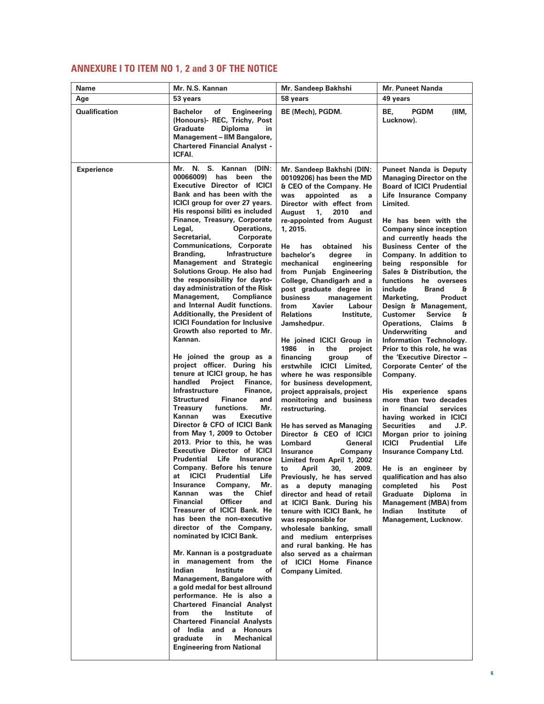# **ANNEXURE I TO ITEM NO 1, 2 and 3 OF THE NOTICE**

| Name                 | Mr. N.S. Kannan                                                                                                                                                                                                                                                                                                                                                                                                                                                                                                                                                                                                                                                                                                                                                                                                                                                                                                                                                                                                                                                                                                                                                                                                                                                                                                                                                                                                                                                                                                                                                                                                                                                                                                                                                                                                                                                                                       | Mr. Sandeep Bakhshi                                                                                                                                                                                                                                                                                                                                                                                                                                                                                                                                                                                                                                                                                                                                                                                                                                                                                                                                                                                                                                                                                                                                                                                                                                                                             | <b>Mr. Puneet Nanda</b>                                                                                                                                                                                                                                                                                                                                                                                                                                                                                                                                                                                                                                                                                                                                                                                                                                                                                                                                                                                                                                                                                                                                               |
|----------------------|-------------------------------------------------------------------------------------------------------------------------------------------------------------------------------------------------------------------------------------------------------------------------------------------------------------------------------------------------------------------------------------------------------------------------------------------------------------------------------------------------------------------------------------------------------------------------------------------------------------------------------------------------------------------------------------------------------------------------------------------------------------------------------------------------------------------------------------------------------------------------------------------------------------------------------------------------------------------------------------------------------------------------------------------------------------------------------------------------------------------------------------------------------------------------------------------------------------------------------------------------------------------------------------------------------------------------------------------------------------------------------------------------------------------------------------------------------------------------------------------------------------------------------------------------------------------------------------------------------------------------------------------------------------------------------------------------------------------------------------------------------------------------------------------------------------------------------------------------------------------------------------------------------|-------------------------------------------------------------------------------------------------------------------------------------------------------------------------------------------------------------------------------------------------------------------------------------------------------------------------------------------------------------------------------------------------------------------------------------------------------------------------------------------------------------------------------------------------------------------------------------------------------------------------------------------------------------------------------------------------------------------------------------------------------------------------------------------------------------------------------------------------------------------------------------------------------------------------------------------------------------------------------------------------------------------------------------------------------------------------------------------------------------------------------------------------------------------------------------------------------------------------------------------------------------------------------------------------|-----------------------------------------------------------------------------------------------------------------------------------------------------------------------------------------------------------------------------------------------------------------------------------------------------------------------------------------------------------------------------------------------------------------------------------------------------------------------------------------------------------------------------------------------------------------------------------------------------------------------------------------------------------------------------------------------------------------------------------------------------------------------------------------------------------------------------------------------------------------------------------------------------------------------------------------------------------------------------------------------------------------------------------------------------------------------------------------------------------------------------------------------------------------------|
| Age                  | 53 years                                                                                                                                                                                                                                                                                                                                                                                                                                                                                                                                                                                                                                                                                                                                                                                                                                                                                                                                                                                                                                                                                                                                                                                                                                                                                                                                                                                                                                                                                                                                                                                                                                                                                                                                                                                                                                                                                              | 58 vears                                                                                                                                                                                                                                                                                                                                                                                                                                                                                                                                                                                                                                                                                                                                                                                                                                                                                                                                                                                                                                                                                                                                                                                                                                                                                        | 49 years                                                                                                                                                                                                                                                                                                                                                                                                                                                                                                                                                                                                                                                                                                                                                                                                                                                                                                                                                                                                                                                                                                                                                              |
| <b>Qualification</b> | Bachelor<br>of<br><b>Engineering</b><br>(Honours)- REC, Trichy, Post<br><b>Diploma</b><br>Graduate<br>in<br><b>Management - IIM Bangalore,</b><br><b>Chartered Financial Analyst -</b><br>ICFAI.                                                                                                                                                                                                                                                                                                                                                                                                                                                                                                                                                                                                                                                                                                                                                                                                                                                                                                                                                                                                                                                                                                                                                                                                                                                                                                                                                                                                                                                                                                                                                                                                                                                                                                      | BE (Mech), PGDM.                                                                                                                                                                                                                                                                                                                                                                                                                                                                                                                                                                                                                                                                                                                                                                                                                                                                                                                                                                                                                                                                                                                                                                                                                                                                                | BE,<br><b>PGDM</b><br>(IIM,<br>Lucknow).                                                                                                                                                                                                                                                                                                                                                                                                                                                                                                                                                                                                                                                                                                                                                                                                                                                                                                                                                                                                                                                                                                                              |
| <b>Experience</b>    | Mr. N. S. Kannan (DIN:<br>00066009) has<br>been the<br><b>Executive Director of ICICI</b><br>Bank and has been with the<br><b>ICICI</b> group for over 27 years.<br>His responsi biliti es included<br>Finance, Treasury, Corporate<br>Legal,<br>Operations,<br>Secretarial,<br>Corporate<br><b>Communications, Corporate</b><br>Branding,<br>Infrastructure<br><b>Management and Strategic</b><br>Solutions Group. He also had<br>the responsibility for dayto-<br>day administration of the Risk<br>Management,<br><b>Compliance</b><br>and Internal Audit functions.<br>Additionally, the President of<br><b>ICICI Foundation for Inclusive</b><br>Growth also reported to Mr.<br>Kannan.<br>He joined the group as a<br>project officer. During his<br>tenure at ICICI group, he has<br>handled<br>Project<br>Finance,<br><b>Infrastructure</b><br>Finance,<br>Structured<br><b>Finance</b><br>and<br>Mr.<br><b>Treasury</b><br>functions.<br><b>Executive</b><br>Kannan<br>was<br>Director & CFO of ICICI Bank<br>from May 1, 2009 to October<br>2013. Prior to this, he was<br><b>Executive Director of ICICI</b><br><b>Prudential Life Insurance</b><br>Company. Before his tenure<br><b>ICICI</b><br><b>Prudential</b><br>Life<br>at<br>Mr.<br>Company,<br><b>Insurance</b><br>Kannan<br>the<br>Chief<br>was<br><b>Officer</b><br><b>Financial</b><br>and<br>Treasurer of ICICI Bank. He<br>has been the non-executive<br>director of the Company,<br>nominated by ICICI Bank.<br>Mr. Kannan is a postgraduate<br>in management from the<br>Indian<br>Institute<br>οf<br><b>Management, Bangalore with</b><br>a gold medal for best allround<br>performance. He is also a<br><b>Chartered Financial Analyst</b><br>from<br>the<br>Institute<br>of<br><b>Chartered Financial Analysts</b><br>of India and a Honours<br><b>Mechanical</b><br>graduate<br>in<br><b>Engineering from National</b> | Mr. Sandeep Bakhshi (DIN:<br>00109206) has been the MD<br>& CEO of the Company. He<br>appointed<br>as<br>was<br>a<br>Director with effect from<br>2010<br>August<br>1,<br>and<br>re-appointed from August<br>1, 2015.<br>He<br>has<br>obtained<br>his<br>bachelor's<br>degree<br>in<br>mechanical<br>engineering<br>from Punjab Engineering<br>College, Chandigarh and a<br>post graduate degree in<br>business<br>management<br>from<br>Xavier<br>Labour<br><b>Relations</b><br>Institute,<br>Jamshedpur.<br>He joined ICICI Group in<br>1986<br>in.<br>the<br>project<br>financing<br>group<br>of<br>erstwhile ICICI Limited,<br>where he was responsible<br>for business development,<br>project appraisals, project<br>monitoring and business<br>restructuring.<br>He has served as Managing<br>Director & CEO of ICICI<br>General<br><b>Lombard</b><br><b>Insurance</b><br>Company<br>Limited from April 1, 2002<br>to<br>April<br>30,<br>2009.<br>Previously, he has served<br>as a deputy managing<br>director and head of retail<br>at ICICI Bank. During his<br>tenure with ICICI Bank, he<br>was responsible for<br>wholesale banking, small<br>and medium enterprises<br>and rural banking. He has<br>also served as a chairman<br>of ICICI Home Finance<br><b>Company Limited.</b> | <b>Puneet Nanda is Deputy</b><br><b>Managing Director on the</b><br><b>Board of ICICI Prudential</b><br>Life Insurance Company<br>Limited.<br>He has been with the<br><b>Company since inception</b><br>and currently heads the<br><b>Business Center of the</b><br>Company. In addition to<br>being responsible for<br>Sales & Distribution, the<br>functions he oversees<br>include<br><b>Brand</b><br>£.<br>Marketing,<br><b>Product</b><br>Design & Management,<br>Customer<br><b>Service</b><br>a<br><b>Operations,</b><br>Claims &<br><b>Underwriting</b><br>and<br>Information Technology.<br>Prior to this role, he was<br>the 'Executive Director -<br>Corporate Center' of the<br>Company.<br>His<br>experience<br>spans<br>more than two decades<br>in<br>financial<br>services<br>having worked in ICICI<br><b>Securities</b><br>J.P.<br>and<br>Morgan prior to joining<br><b>ICICI</b><br>Prudential<br>Life<br><b>Insurance Company Ltd.</b><br>He is an engineer by<br>qualification and has also<br>his<br>Post<br>completed<br>Graduate<br><b>Diploma</b><br>in<br><b>Management (MBA) from</b><br>Indian<br>Institute<br>оf<br>Management, Lucknow. |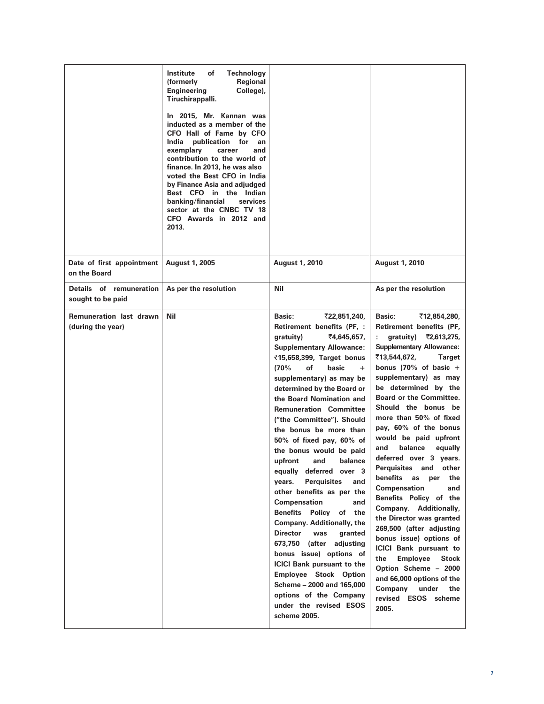|                                                     | Institute<br>of<br>Technology<br>Regional<br>(formerly<br><b>Engineering</b><br>College),<br>Tiruchirappalli.<br>In 2015, Mr. Kannan was<br>inducted as a member of the<br>CFO Hall of Fame by CFO<br>India publication for<br>an<br>exemplary<br>career<br>and<br>contribution to the world of<br>finance. In 2013, he was also<br>voted the Best CFO in India<br>by Finance Asia and adjudged<br>Best CFO in the Indian<br>banking/financial<br>services<br>sector at the CNBC TV 18<br>CFO Awards in 2012 and<br>2013. |                                                                                                                                                                                                                                                                                                                                                                                                                                                                                                                                                                                                                                                                                                                                                                                                                                                                                     |                                                                                                                                                                                                                                                                                                                                                                                                                                                                                                                                                                                                                                                                                                                                                                                                                                                            |
|-----------------------------------------------------|---------------------------------------------------------------------------------------------------------------------------------------------------------------------------------------------------------------------------------------------------------------------------------------------------------------------------------------------------------------------------------------------------------------------------------------------------------------------------------------------------------------------------|-------------------------------------------------------------------------------------------------------------------------------------------------------------------------------------------------------------------------------------------------------------------------------------------------------------------------------------------------------------------------------------------------------------------------------------------------------------------------------------------------------------------------------------------------------------------------------------------------------------------------------------------------------------------------------------------------------------------------------------------------------------------------------------------------------------------------------------------------------------------------------------|------------------------------------------------------------------------------------------------------------------------------------------------------------------------------------------------------------------------------------------------------------------------------------------------------------------------------------------------------------------------------------------------------------------------------------------------------------------------------------------------------------------------------------------------------------------------------------------------------------------------------------------------------------------------------------------------------------------------------------------------------------------------------------------------------------------------------------------------------------|
| Date of first appointment<br>on the Board           | <b>August 1, 2005</b>                                                                                                                                                                                                                                                                                                                                                                                                                                                                                                     | <b>August 1, 2010</b>                                                                                                                                                                                                                                                                                                                                                                                                                                                                                                                                                                                                                                                                                                                                                                                                                                                               | <b>August 1, 2010</b>                                                                                                                                                                                                                                                                                                                                                                                                                                                                                                                                                                                                                                                                                                                                                                                                                                      |
| Details of remuneration<br>sought to be paid        | As per the resolution                                                                                                                                                                                                                                                                                                                                                                                                                                                                                                     | Nil                                                                                                                                                                                                                                                                                                                                                                                                                                                                                                                                                                                                                                                                                                                                                                                                                                                                                 | As per the resolution                                                                                                                                                                                                                                                                                                                                                                                                                                                                                                                                                                                                                                                                                                                                                                                                                                      |
| <b>Remuneration last drawn</b><br>(during the year) | Nil                                                                                                                                                                                                                                                                                                                                                                                                                                                                                                                       | Basic:<br>₹22,851,240,<br>Retirement benefits (PF, :<br>₹4,645,657,<br>gratuity)<br><b>Supplementary Allowance:</b><br>₹15,658,399, Target bonus<br>(70%<br>of<br>basic<br>$+$<br>supplementary) as may be<br>determined by the Board or<br>the Board Nomination and<br><b>Remuneration Committee</b><br>("the Committee"). Should<br>the bonus be more than<br>50% of fixed pay, 60% of<br>the bonus would be paid<br>upfront and balance<br>equally deferred over 3<br>years. Perquisites<br>and<br>other benefits as per the<br>Compensation<br>and<br>Benefits Policy of the<br>Company. Additionally, the<br><b>Director</b><br>was<br>granted<br>673,750 (after<br>adjusting<br>bonus issue) options of<br><b>ICICI Bank pursuant to the</b><br><b>Employee Stock Option</b><br>Scheme - 2000 and 165,000<br>options of the Company<br>under the revised ESOS<br>scheme 2005. | <b>Basic:</b><br>₹12,854,280,<br>Retirement benefits (PF,<br>gratuity)<br>₹2,613,275,<br><b>Supplementary Allowance:</b><br>₹13,544,672,<br><b>Target</b><br>bonus (70% of basic $+$<br>supplementary) as may<br>be determined by the<br><b>Board or the Committee.</b><br>Should the bonus be<br>more than 50% of fixed<br>pay, 60% of the bonus<br>would be paid upfront<br>balance<br>and<br>equally<br>deferred over 3 years.<br>Perquisites and<br>other<br>benefits as<br>the<br>per<br><b>Compensation</b><br>and<br>Benefits Policy of the<br>Company. Additionally,<br>the Director was granted<br>269,500 (after adjusting<br>bonus issue) options of<br><b>ICICI Bank pursuant to</b><br><b>Employee</b><br>the<br><b>Stock</b><br>Option Scheme - 2000<br>and 66,000 options of the<br>Company<br>under<br>the<br>revised ESOS scheme<br>2005. |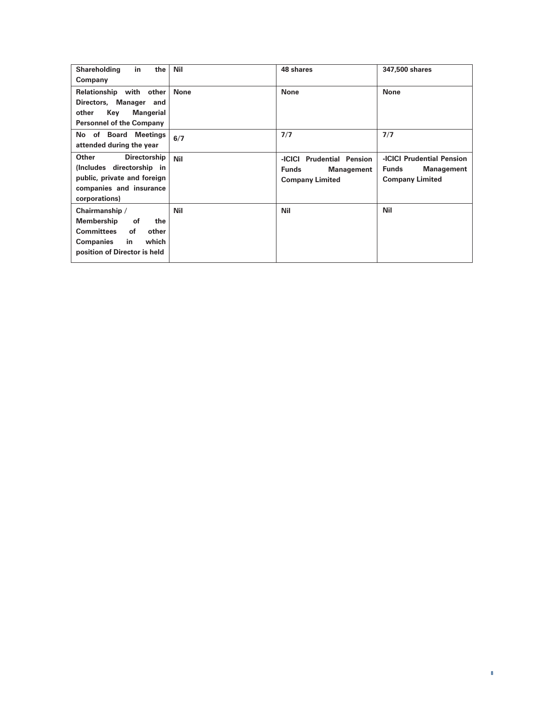| in<br>the<br><b>Shareholding</b><br>Company                                                                                                      | Nil         | 48 shares                                                                         | 347,500 shares                                                                           |
|--------------------------------------------------------------------------------------------------------------------------------------------------|-------------|-----------------------------------------------------------------------------------|------------------------------------------------------------------------------------------|
| Relationship with<br>other<br>Directors, Manager<br>and<br>Key<br>Mangerial<br>other<br><b>Personnel of the Company</b>                          | <b>None</b> | <b>None</b>                                                                       | <b>None</b>                                                                              |
| No of Board Meetings<br>attended during the year                                                                                                 | 6/7         | 7/7                                                                               | 7/7                                                                                      |
| Other<br><b>Directorship</b><br>(Includes directorship in<br>public, private and foreign<br>companies and insurance<br>corporations)             | <b>Nil</b>  | -ICICI Prudential Pension<br><b>Funds</b><br>Management<br><b>Company Limited</b> | <b>-ICICI Prudential Pension</b><br><b>Funds</b><br>Management<br><b>Company Limited</b> |
| Chairmanship /<br>Membership<br>the<br>οf<br><b>Committees</b><br>οf<br>other<br>which<br><b>Companies</b><br>in<br>position of Director is held | Nil         | <b>Nil</b>                                                                        | Nil                                                                                      |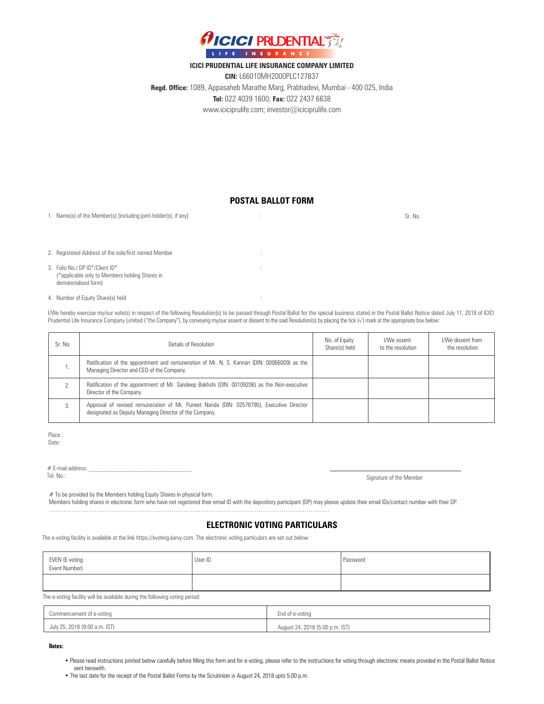

#### **ICICI PRUDENTIAL LIFE INSURANCE COMPANY LIMITED**

**CIN:** L66010MH2000PLC127837 **Regd. Office:** 1089, Appasaheb Marathe Marg, Prabhadevi, Mumbai - 400 025, India **Tel:** 022 4039 1600; **Fax:** 022 2437 6638 www.iciciprulife.com; investor@iciciprulife.com

## **POSTAL BALLOT FORM**

1. Name(s) of the Member(s) [including joint-holder(s), if any] Sr. No. (3) Sr. No. (3) Sr. No. (3) Sr. No. (3)

2. Registered Address of the sole/first named Member :

- 3. Folio No./ DP ID\*/Client ID\* (\*applicable only to Members holding Shares in dematerialised form)
- 4. Number of Equity Share(s) held :

I/We hereby exercise my/our vote(s) in respect of the following Resolution(s) to be passed through Postal Ballot for the special business stated in the Postal Ballot Notice dated July 11, 2018 of ICICI Prudential Life Insurance Company Limited ("the Company"), by conveying my/our assent or dissent to the said Resolution(s) by placing the tick (√) mark at the appropriate box below:

| Sr. No. | Details of Resolution                                                                                                                              | No. of Equity<br>Share(s) held | I/We assent<br>to the resolution | I/We dissent from<br>the resolution |
|---------|----------------------------------------------------------------------------------------------------------------------------------------------------|--------------------------------|----------------------------------|-------------------------------------|
|         | Ratification of the appointment and remuneration of Mr. N. S. Kannan (DIN: 00066009) as the<br>Managing Director and CEO of the Company.           |                                |                                  |                                     |
|         | Ratification of the appointment of Mr. Sandeep Bakhshi (DIN: 00109206) as the Non-executive<br>Director of the Company.                            |                                |                                  |                                     |
|         | Approval of revised remuneration of Mr. Puneet Nanda (DIN: 02578795), Executive Director<br>designated as Deputy Managing Director of the Company. |                                |                                  |                                     |

Place : Date:

 $#$  E-mail address:<br>Tel\_No :

Signature of the Member

# To be provided by the Members holding Equity Shares in physical form.

Members holding shares in electronic form who have not registered their email ID with the depository participant (DP) may please update their email IDs/contact number with their DP.

## **ELECTRONIC VOTING PARTICULARS**

The e-voting facility is available at the link https://evoting.karvy.com. The electronic voting particulars are set out below:

………………………………………………………………………………………………………………………

| EVEN (E-voting<br>Event Number) | User ID | Password |
|---------------------------------|---------|----------|
|                                 |         |          |

The e-voting facility will be available during the following voting period:

| Commencement of e-voting      | End of e-voting                 |
|-------------------------------|---------------------------------|
| July 25, 2018 (9:00 a.m. IST) | August 24, 2018 (5:00 p.m. IST) |

**Notes:**

• Please read instructions printed below carefully before filling this form and for e-voting, please refer to the instructions for voting through electronic means provided in the Postal Ballot Notice sent herewith.

• The last date for the receipt of the Postal Ballot Forms by the Scrutinizer is August 24, 2018 upto 5.00 p.m.